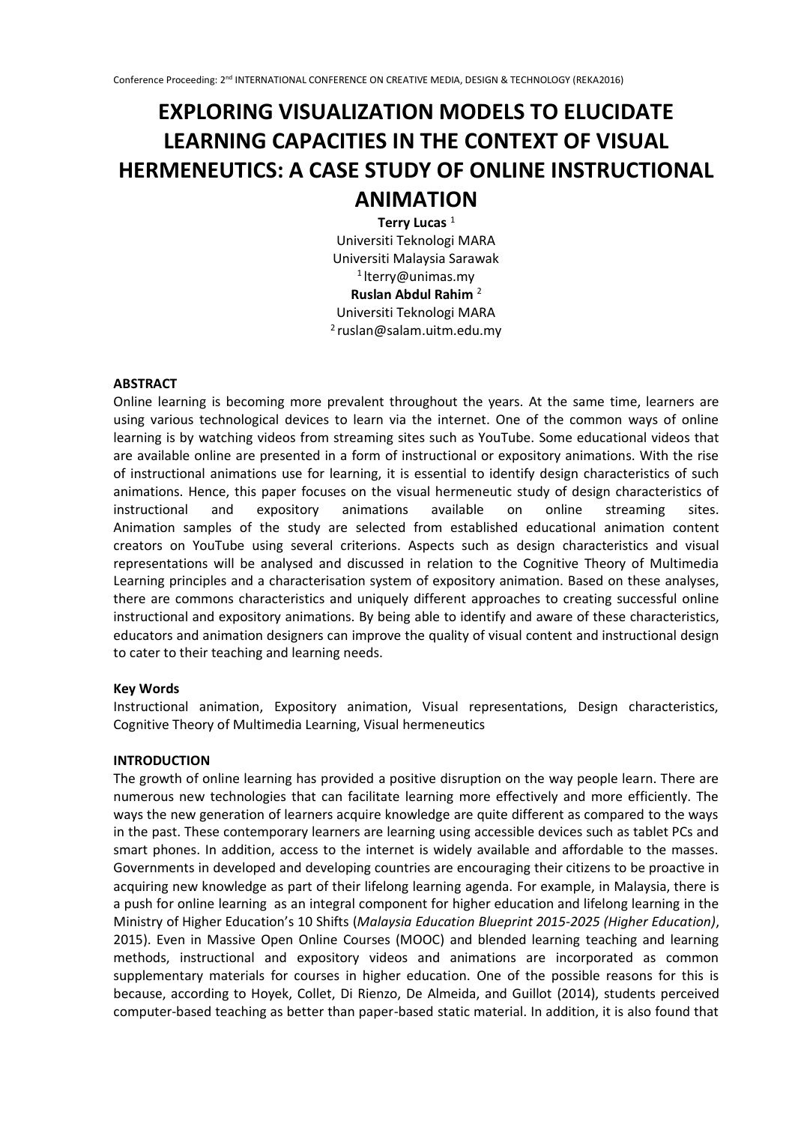# **EXPLORING VISUALIZATION MODELS TO ELUCIDATE LEARNING CAPACITIES IN THE CONTEXT OF VISUAL HERMENEUTICS: A CASE STUDY OF ONLINE INSTRUCTIONAL ANIMATION**

**Terry Lucas** <sup>1</sup> Universiti Teknologi MARA Universiti Malaysia Sarawak  $1$ lterry@unimas.my **Ruslan Abdul Rahim** <sup>2</sup> Universiti Teknologi MARA <sup>2</sup>ruslan@salam.uitm.edu.my

#### **ABSTRACT**

Online learning is becoming more prevalent throughout the years. At the same time, learners are using various technological devices to learn via the internet. One of the common ways of online learning is by watching videos from streaming sites such as YouTube. Some educational videos that are available online are presented in a form of instructional or expository animations. With the rise of instructional animations use for learning, it is essential to identify design characteristics of such animations. Hence, this paper focuses on the visual hermeneutic study of design characteristics of instructional and expository animations available on online streaming sites. Animation samples of the study are selected from established educational animation content creators on YouTube using several criterions. Aspects such as design characteristics and visual representations will be analysed and discussed in relation to the Cognitive Theory of Multimedia Learning principles and a characterisation system of expository animation. Based on these analyses, there are commons characteristics and uniquely different approaches to creating successful online instructional and expository animations. By being able to identify and aware of these characteristics, educators and animation designers can improve the quality of visual content and instructional design to cater to their teaching and learning needs.

#### **Key Words**

Instructional animation, Expository animation, Visual representations, Design characteristics, Cognitive Theory of Multimedia Learning, Visual hermeneutics

#### **INTRODUCTION**

The growth of online learning has provided a positive disruption on the way people learn. There are numerous new technologies that can facilitate learning more effectively and more efficiently. The ways the new generation of learners acquire knowledge are quite different as compared to the ways in the past. These contemporary learners are learning using accessible devices such as tablet PCs and smart phones. In addition, access to the internet is widely available and affordable to the masses. Governments in developed and developing countries are encouraging their citizens to be proactive in acquiring new knowledge as part of their lifelong learning agenda. For example, in Malaysia, there is a push for online learning as an integral component for higher education and lifelong learning in the Ministry of Higher Education's 10 Shifts (*Malaysia Education Blueprint 2015-2025 (Higher Education)*, 2015). Even in Massive Open Online Courses (MOOC) and blended learning teaching and learning methods, instructional and expository videos and animations are incorporated as common supplementary materials for courses in higher education. One of the possible reasons for this is because, according to Hoyek, Collet, Di Rienzo, De Almeida, and Guillot (2014), students perceived computer-based teaching as better than paper-based static material. In addition, it is also found that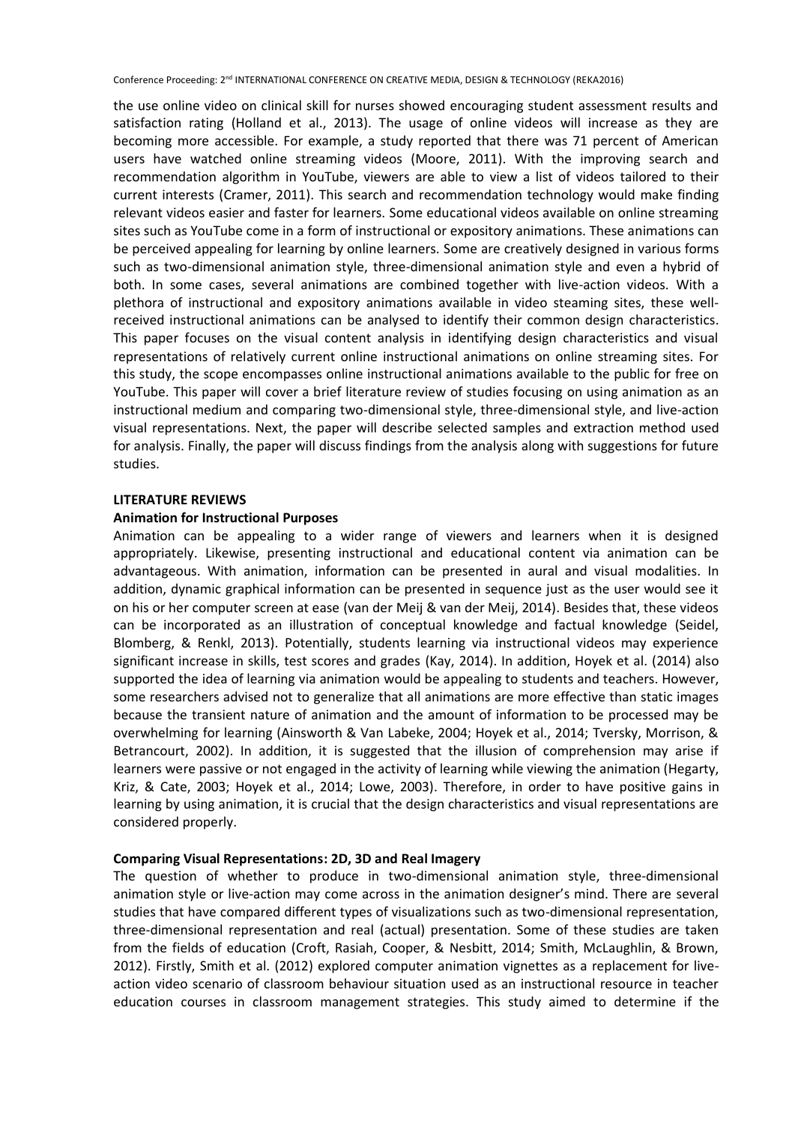the use online video on clinical skill for nurses showed encouraging student assessment results and satisfaction rating (Holland et al., 2013). The usage of online videos will increase as they are becoming more accessible. For example, a study reported that there was 71 percent of American users have watched online streaming videos (Moore, 2011). With the improving search and recommendation algorithm in YouTube, viewers are able to view a list of videos tailored to their current interests (Cramer, 2011). This search and recommendation technology would make finding relevant videos easier and faster for learners. Some educational videos available on online streaming sites such as YouTube come in a form of instructional or expository animations. These animations can be perceived appealing for learning by online learners. Some are creatively designed in various forms such as two-dimensional animation style, three-dimensional animation style and even a hybrid of both. In some cases, several animations are combined together with live-action videos. With a plethora of instructional and expository animations available in video steaming sites, these wellreceived instructional animations can be analysed to identify their common design characteristics. This paper focuses on the visual content analysis in identifying design characteristics and visual representations of relatively current online instructional animations on online streaming sites. For this study, the scope encompasses online instructional animations available to the public for free on YouTube. This paper will cover a brief literature review of studies focusing on using animation as an instructional medium and comparing two-dimensional style, three-dimensional style, and live-action visual representations. Next, the paper will describe selected samples and extraction method used for analysis. Finally, the paper will discuss findings from the analysis along with suggestions for future studies.

#### **LITERATURE REVIEWS**

#### **Animation for Instructional Purposes**

Animation can be appealing to a wider range of viewers and learners when it is designed appropriately. Likewise, presenting instructional and educational content via animation can be advantageous. With animation, information can be presented in aural and visual modalities. In addition, dynamic graphical information can be presented in sequence just as the user would see it on his or her computer screen at ease (van der Meij & van der Meij, 2014). Besides that, these videos can be incorporated as an illustration of conceptual knowledge and factual knowledge (Seidel, Blomberg, & Renkl, 2013). Potentially, students learning via instructional videos may experience significant increase in skills, test scores and grades (Kay, 2014). In addition, Hoyek et al. (2014) also supported the idea of learning via animation would be appealing to students and teachers. However, some researchers advised not to generalize that all animations are more effective than static images because the transient nature of animation and the amount of information to be processed may be overwhelming for learning (Ainsworth & Van Labeke, 2004; Hoyek et al., 2014; Tversky, Morrison, & Betrancourt, 2002). In addition, it is suggested that the illusion of comprehension may arise if learners were passive or not engaged in the activity of learning while viewing the animation (Hegarty, Kriz, & Cate, 2003; Hoyek et al., 2014; Lowe, 2003). Therefore, in order to have positive gains in learning by using animation, it is crucial that the design characteristics and visual representations are considered properly.

#### **Comparing Visual Representations: 2D, 3D and Real Imagery**

The question of whether to produce in two-dimensional animation style, three-dimensional animation style or live-action may come across in the animation designer's mind. There are several studies that have compared different types of visualizations such as two-dimensional representation, three-dimensional representation and real (actual) presentation. Some of these studies are taken from the fields of education (Croft, Rasiah, Cooper, & Nesbitt, 2014; Smith, McLaughlin, & Brown, 2012). Firstly, Smith et al. (2012) explored computer animation vignettes as a replacement for liveaction video scenario of classroom behaviour situation used as an instructional resource in teacher education courses in classroom management strategies. This study aimed to determine if the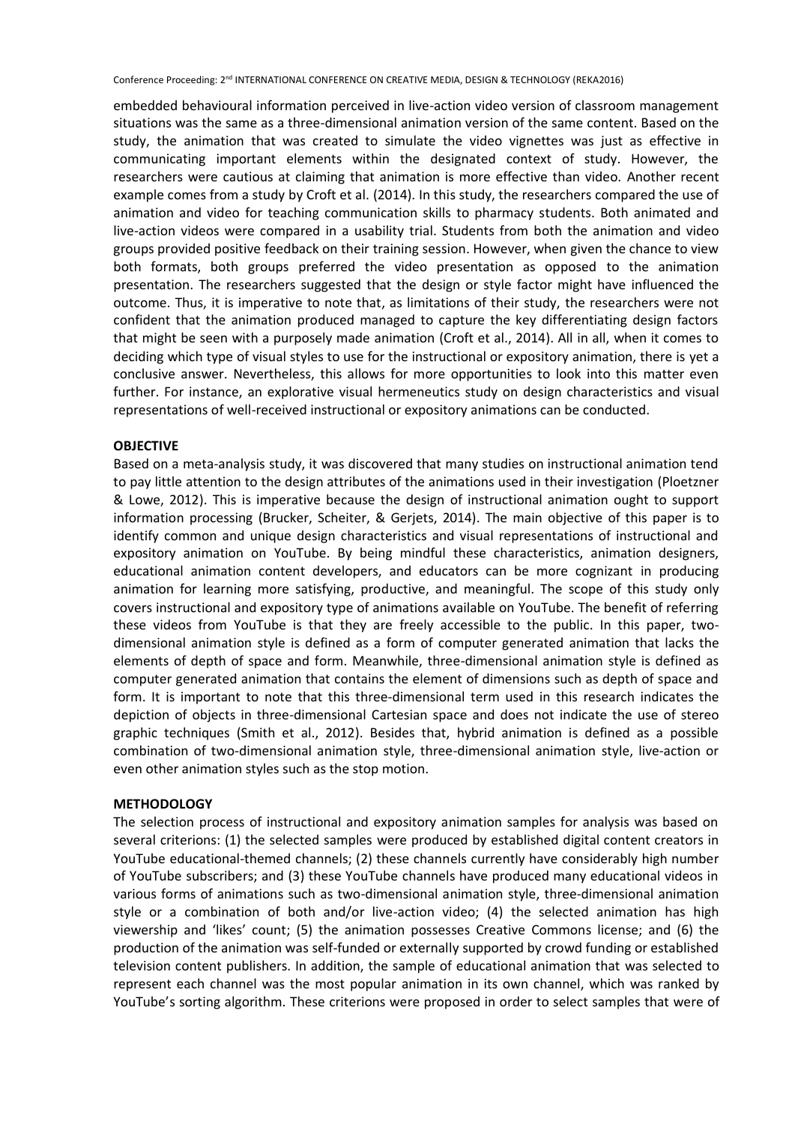embedded behavioural information perceived in live-action video version of classroom management situations was the same as a three-dimensional animation version of the same content. Based on the study, the animation that was created to simulate the video vignettes was just as effective in communicating important elements within the designated context of study. However, the researchers were cautious at claiming that animation is more effective than video. Another recent example comes from a study by Croft et al. (2014). In this study, the researchers compared the use of animation and video for teaching communication skills to pharmacy students. Both animated and live-action videos were compared in a usability trial. Students from both the animation and video groups provided positive feedback on their training session. However, when given the chance to view both formats, both groups preferred the video presentation as opposed to the animation presentation. The researchers suggested that the design or style factor might have influenced the outcome. Thus, it is imperative to note that, as limitations of their study, the researchers were not confident that the animation produced managed to capture the key differentiating design factors that might be seen with a purposely made animation (Croft et al., 2014). All in all, when it comes to deciding which type of visual styles to use for the instructional or expository animation, there is yet a conclusive answer. Nevertheless, this allows for more opportunities to look into this matter even further. For instance, an explorative visual hermeneutics study on design characteristics and visual representations of well-received instructional or expository animations can be conducted.

### **OBJECTIVE**

Based on a meta-analysis study, it was discovered that many studies on instructional animation tend to pay little attention to the design attributes of the animations used in their investigation (Ploetzner & Lowe, 2012). This is imperative because the design of instructional animation ought to support information processing (Brucker, Scheiter, & Gerjets, 2014). The main objective of this paper is to identify common and unique design characteristics and visual representations of instructional and expository animation on YouTube. By being mindful these characteristics, animation designers, educational animation content developers, and educators can be more cognizant in producing animation for learning more satisfying, productive, and meaningful. The scope of this study only covers instructional and expository type of animations available on YouTube. The benefit of referring these videos from YouTube is that they are freely accessible to the public. In this paper, twodimensional animation style is defined as a form of computer generated animation that lacks the elements of depth of space and form. Meanwhile, three-dimensional animation style is defined as computer generated animation that contains the element of dimensions such as depth of space and form. It is important to note that this three-dimensional term used in this research indicates the depiction of objects in three-dimensional Cartesian space and does not indicate the use of stereo graphic techniques (Smith et al., 2012). Besides that, hybrid animation is defined as a possible combination of two-dimensional animation style, three-dimensional animation style, live-action or even other animation styles such as the stop motion.

#### **METHODOLOGY**

The selection process of instructional and expository animation samples for analysis was based on several criterions: (1) the selected samples were produced by established digital content creators in YouTube educational-themed channels; (2) these channels currently have considerably high number of YouTube subscribers; and (3) these YouTube channels have produced many educational videos in various forms of animations such as two-dimensional animation style, three-dimensional animation style or a combination of both and/or live-action video; (4) the selected animation has high viewership and 'likes' count; (5) the animation possesses Creative Commons license; and (6) the production of the animation was self-funded or externally supported by crowd funding or established television content publishers. In addition, the sample of educational animation that was selected to represent each channel was the most popular animation in its own channel, which was ranked by YouTube's sorting algorithm. These criterions were proposed in order to select samples that were of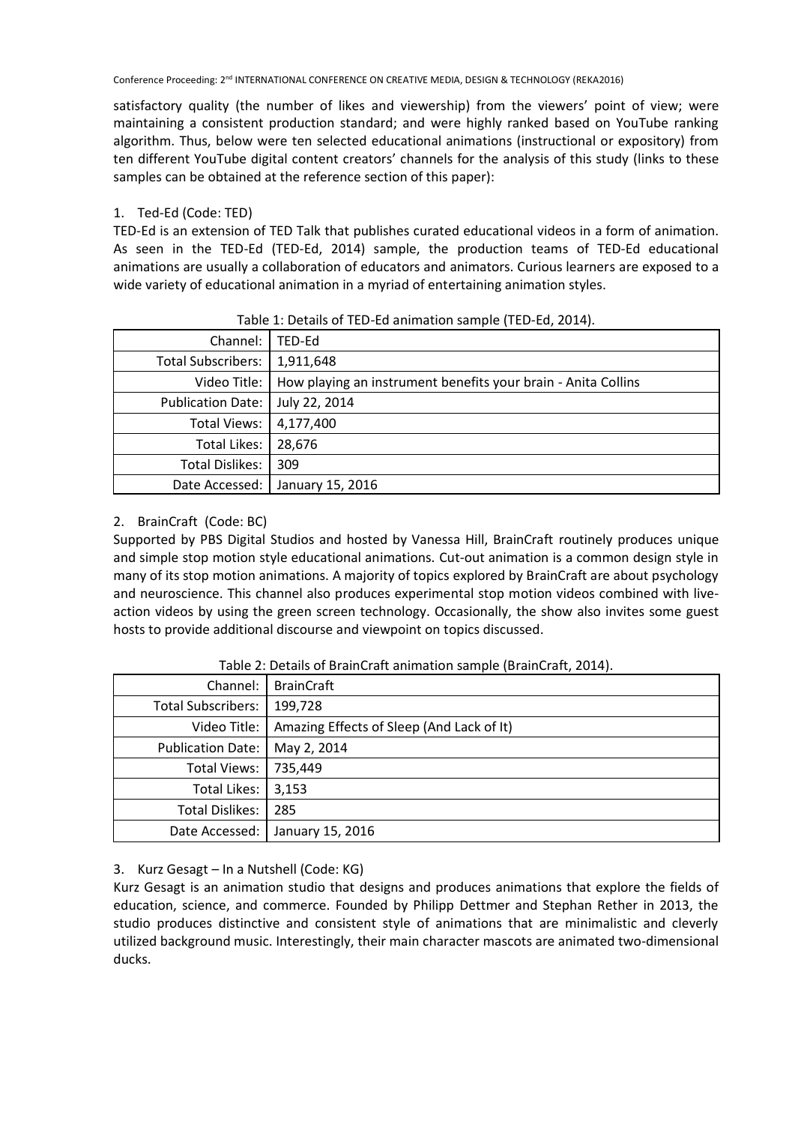satisfactory quality (the number of likes and viewership) from the viewers' point of view; were maintaining a consistent production standard; and were highly ranked based on YouTube ranking algorithm. Thus, below were ten selected educational animations (instructional or expository) from ten different YouTube digital content creators' channels for the analysis of this study (links to these samples can be obtained at the reference section of this paper):

# 1. Ted-Ed (Code: TED)

TED-Ed is an extension of TED Talk that publishes curated educational videos in a form of animation. As seen in the TED-Ed (TED-Ed, 2014) sample, the production teams of TED-Ed educational animations are usually a collaboration of educators and animators. Curious learners are exposed to a wide variety of educational animation in a myriad of entertaining animation styles.

|                           | Table 1: Details of TED Ea allingatori sample (TED Ea) 2011). |
|---------------------------|---------------------------------------------------------------|
| Channel:                  | TED-Ed                                                        |
| <b>Total Subscribers:</b> | 1,911,648                                                     |
| Video Title:              | How playing an instrument benefits your brain - Anita Collins |
| <b>Publication Date:</b>  | July 22, 2014                                                 |
| Total Views:              | 4,177,400                                                     |
| Total Likes:              | 28.676                                                        |
| Total Dislikes:           | 309                                                           |
| Date Accessed:            | January 15, 2016                                              |

## Table 1: Details of TED-Ed animation sample (TED-Ed, 2014).

# 2. BrainCraft (Code: BC)

Supported by PBS Digital Studios and hosted by Vanessa Hill, BrainCraft routinely produces unique and simple stop motion style educational animations. Cut-out animation is a common design style in many of its stop motion animations. A majority of topics explored by BrainCraft are about psychology and neuroscience. This channel also produces experimental stop motion videos combined with liveaction videos by using the green screen technology. Occasionally, the show also invites some guest hosts to provide additional discourse and viewpoint on topics discussed.

| Channel:                  | <b>BrainCraft</b>                         |
|---------------------------|-------------------------------------------|
| <b>Total Subscribers:</b> | 199,728                                   |
| Video Title:              | Amazing Effects of Sleep (And Lack of It) |
| <b>Publication Date:</b>  | May 2, 2014                               |
| <b>Total Views:</b>       | 735,449                                   |
| Total Likes:              | 3,153                                     |
| <b>Total Dislikes:</b>    | 285                                       |
| Date Accessed:            | January 15, 2016                          |

Table 2: Details of BrainCraft animation sample (BrainCraft, 2014).

# 3. Kurz Gesagt – In a Nutshell (Code: KG)

Kurz Gesagt is an animation studio that designs and produces animations that explore the fields of education, science, and commerce. Founded by Philipp Dettmer and Stephan Rether in 2013, the studio produces distinctive and consistent style of animations that are minimalistic and cleverly utilized background music. Interestingly, their main character mascots are animated two-dimensional ducks.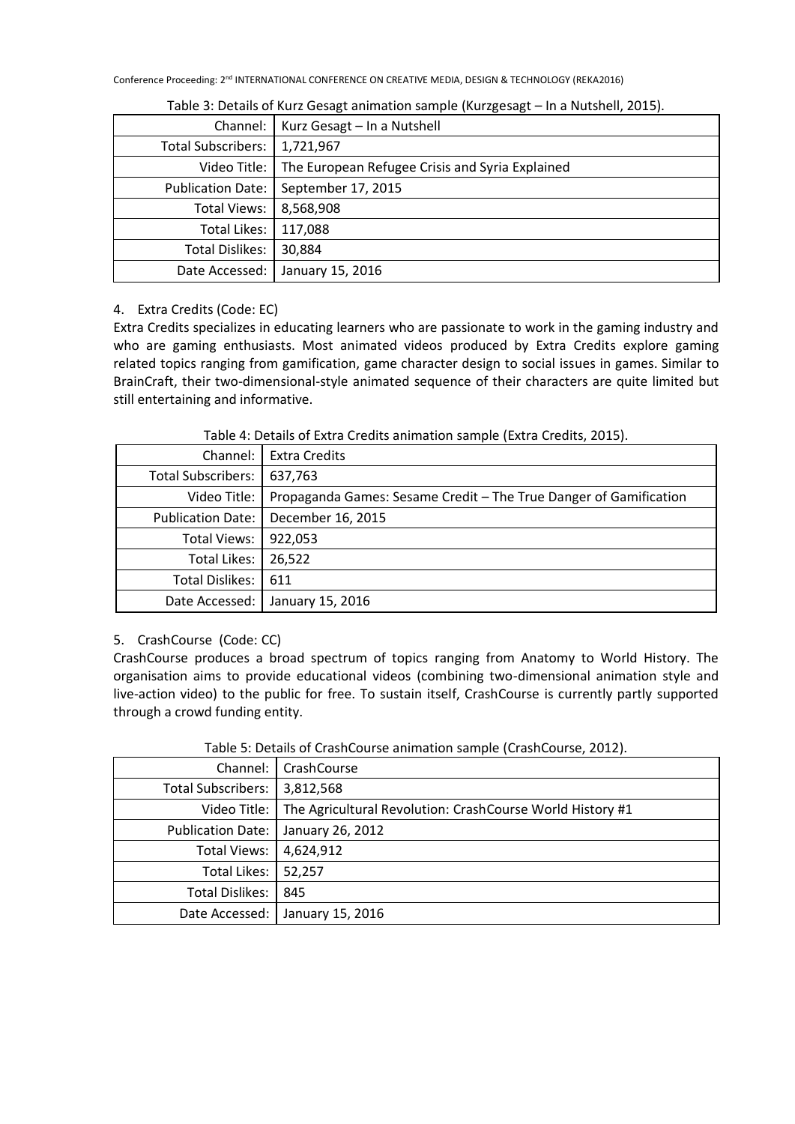| Channel:                  | Kurz Gesagt - In a Nutshell                     |
|---------------------------|-------------------------------------------------|
| <b>Total Subscribers:</b> | 1,721,967                                       |
| Video Title:              | The European Refugee Crisis and Syria Explained |
| <b>Publication Date:</b>  | September 17, 2015                              |
| Total Views:              | 8,568,908                                       |
| Total Likes:              | 117,088                                         |
| Total Dislikes:           | 30,884                                          |
| Date Accessed:            | January 15, 2016                                |

Table 3: Details of Kurz Gesagt animation sample (Kurzgesagt – In a Nutshell, 2015).

## 4. Extra Credits (Code: EC)

Extra Credits specializes in educating learners who are passionate to work in the gaming industry and who are gaming enthusiasts. Most animated videos produced by Extra Credits explore gaming related topics ranging from gamification, game character design to social issues in games. Similar to BrainCraft, their two-dimensional-style animated sequence of their characters are quite limited but still entertaining and informative.

Table 4: Details of Extra Credits animation sample (Extra Credits, 2015).

| Channel:                  | <b>Extra Credits</b>                                              |
|---------------------------|-------------------------------------------------------------------|
| <b>Total Subscribers:</b> | 637,763                                                           |
| Video Title:              | Propaganda Games: Sesame Credit - The True Danger of Gamification |
| <b>Publication Date:</b>  | December 16, 2015                                                 |
| <b>Total Views:</b>       | 922,053                                                           |
| Total Likes:              | 26,522                                                            |
| Total Dislikes:           | 611                                                               |
| Date Accessed:            | January 15, 2016                                                  |

# 5. CrashCourse (Code: CC)

CrashCourse produces a broad spectrum of topics ranging from Anatomy to World History. The organisation aims to provide educational videos (combining two-dimensional animation style and live-action video) to the public for free. To sustain itself, CrashCourse is currently partly supported through a crowd funding entity.

| Table 5: Details of crashedarse animation sample (crashedarse, 2012). |                                                           |  |  |  |  |
|-----------------------------------------------------------------------|-----------------------------------------------------------|--|--|--|--|
| Channel:                                                              | CrashCourse                                               |  |  |  |  |
| <b>Total Subscribers:</b>                                             | 3,812,568                                                 |  |  |  |  |
| Video Title:                                                          | The Agricultural Revolution: CrashCourse World History #1 |  |  |  |  |
| <b>Publication Date:</b>                                              | January 26, 2012                                          |  |  |  |  |
| <b>Total Views:</b>                                                   | 4,624,912                                                 |  |  |  |  |
| <b>Total Likes:</b>                                                   | 52,257                                                    |  |  |  |  |
| <b>Total Dislikes:</b>                                                | 845                                                       |  |  |  |  |
| Date Accessed:                                                        | January 15, 2016                                          |  |  |  |  |

Table 5: Details of CrashCourse animation sample (CrashCourse, 2012).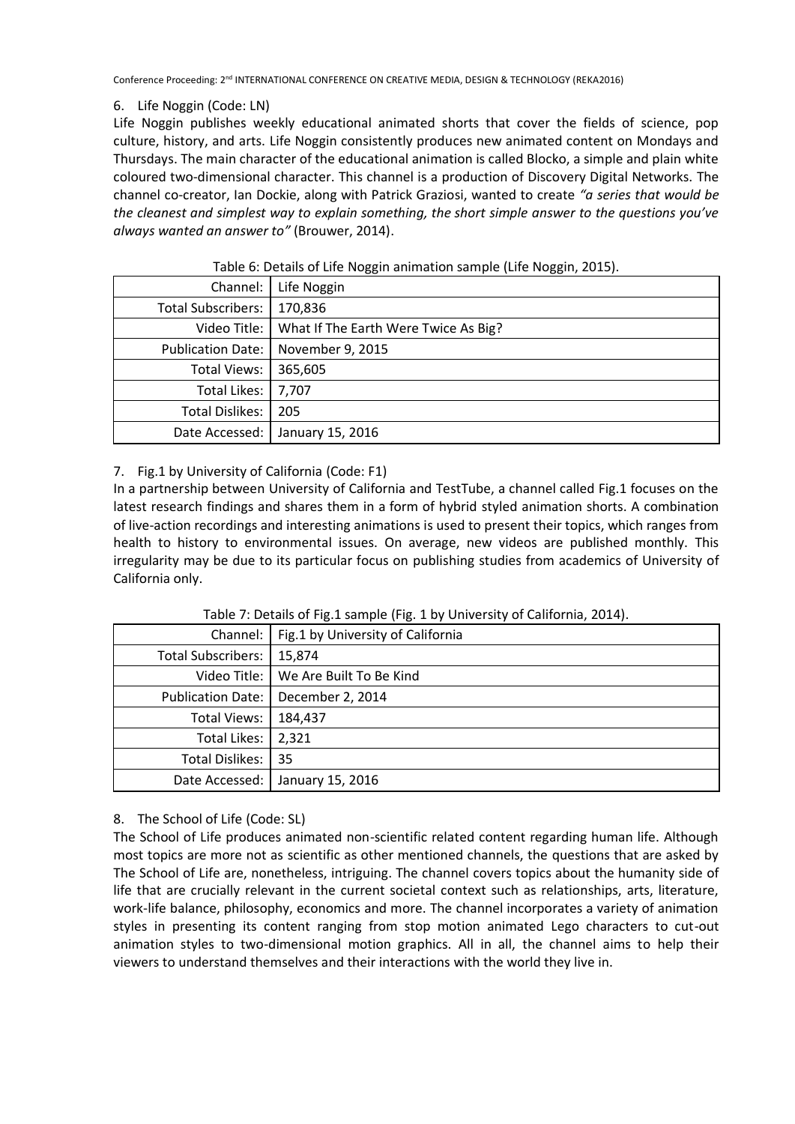## 6. Life Noggin (Code: LN)

Life Noggin publishes weekly educational animated shorts that cover the fields of science, pop culture, history, and arts. Life Noggin consistently produces new animated content on Mondays and Thursdays. The main character of the educational animation is called Blocko, a simple and plain white coloured two-dimensional character. This channel is a production of Discovery Digital Networks. The channel co-creator, Ian Dockie, along with Patrick Graziosi, wanted to create *"a series that would be the cleanest and simplest way to explain something, the short simple answer to the questions you've always wanted an answer to"* (Brouwer, 2014).

| Channel:                  | ັ<br>ັ<br>Life Noggin                |
|---------------------------|--------------------------------------|
| <b>Total Subscribers:</b> | 170,836                              |
| Video Title:              | What If The Earth Were Twice As Big? |
| <b>Publication Date:</b>  | November 9, 2015                     |
| <b>Total Views:</b>       | 365,605                              |
| Total Likes:              | 7,707                                |
| <b>Total Dislikes:</b>    | 205                                  |
| Date Accessed:            | January 15, 2016                     |

## Table 6: Details of Life Noggin animation sample (Life Noggin, 2015).

## 7. Fig.1 by University of California (Code: F1)

In a partnership between University of California and TestTube, a channel called Fig.1 focuses on the latest research findings and shares them in a form of hybrid styled animation shorts. A combination of live-action recordings and interesting animations is used to present their topics, which ranges from health to history to environmental issues. On average, new videos are published monthly. This irregularity may be due to its particular focus on publishing studies from academics of University of California only.

|                           | Channel:   Fig.1 by University of California |
|---------------------------|----------------------------------------------|
| <b>Total Subscribers:</b> | 15,874                                       |
|                           | Video Title:   We Are Built To Be Kind       |
| <b>Publication Date:</b>  | December 2, 2014                             |
| <b>Total Views:</b>       | 184,437                                      |
| Total Likes:              | 2,321                                        |
| Total Dislikes:           | 35                                           |
| Date Accessed:            | January 15, 2016                             |

Table 7: Details of Fig.1 sample (Fig. 1 by University of California, 2014).

## 8. The School of Life (Code: SL)

The School of Life produces animated non-scientific related content regarding human life. Although most topics are more not as scientific as other mentioned channels, the questions that are asked by The School of Life are, nonetheless, intriguing. The channel covers topics about the humanity side of life that are crucially relevant in the current societal context such as relationships, arts, literature, work-life balance, philosophy, economics and more. The channel incorporates a variety of animation styles in presenting its content ranging from stop motion animated Lego characters to cut-out animation styles to two-dimensional motion graphics. All in all, the channel aims to help their viewers to understand themselves and their interactions with the world they live in.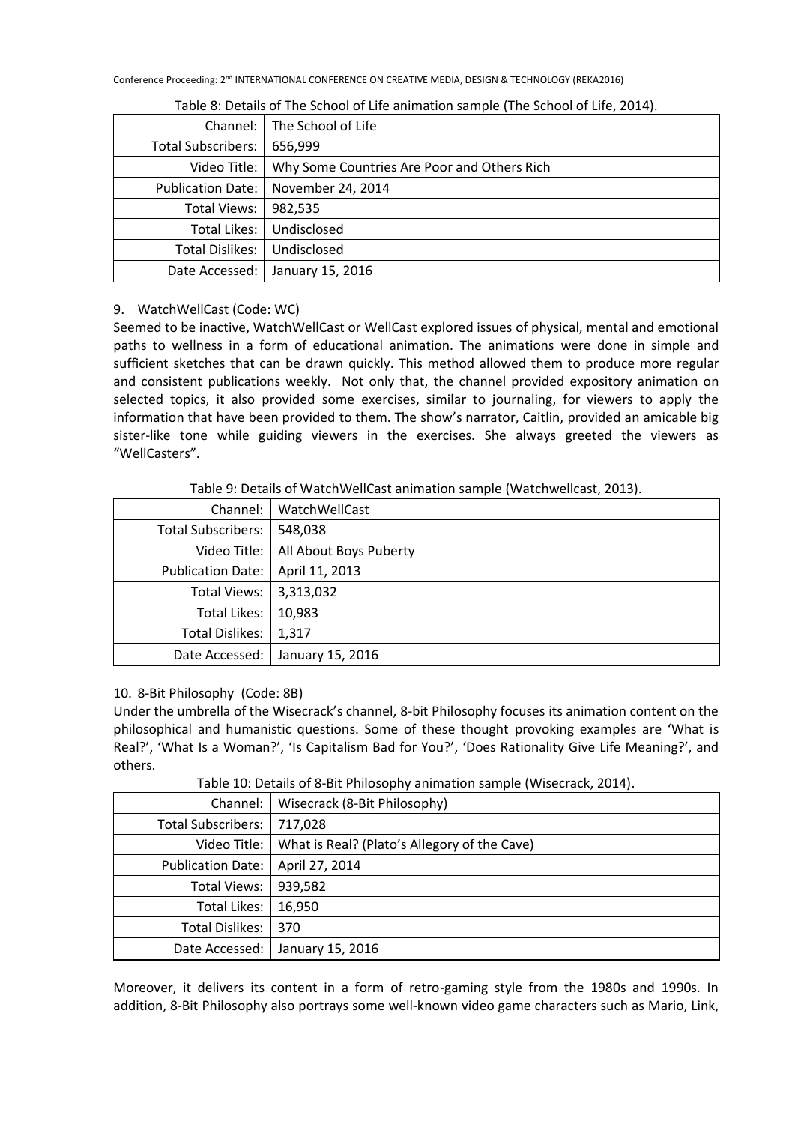| Channel:                  | The School of Life                          |
|---------------------------|---------------------------------------------|
| <b>Total Subscribers:</b> | 656,999                                     |
| Video Title:              | Why Some Countries Are Poor and Others Rich |
| <b>Publication Date:</b>  | November 24, 2014                           |
| Total Views:              | 982,535                                     |
| Total Likes:              | Undisclosed                                 |
| <b>Total Dislikes:</b>    | Undisclosed                                 |
| Date Accessed:            | January 15, 2016                            |

Table 8: Details of The School of Life animation sample (The School of Life, 2014).

## 9. WatchWellCast (Code: WC)

Seemed to be inactive, WatchWellCast or WellCast explored issues of physical, mental and emotional paths to wellness in a form of educational animation. The animations were done in simple and sufficient sketches that can be drawn quickly. This method allowed them to produce more regular and consistent publications weekly. Not only that, the channel provided expository animation on selected topics, it also provided some exercises, similar to journaling, for viewers to apply the information that have been provided to them. The show's narrator, Caitlin, provided an amicable big sister-like tone while guiding viewers in the exercises. She always greeted the viewers as "WellCasters".

Table 9: Details of WatchWellCast animation sample (Watchwellcast, 2013).

| Channel:                  | WatchWellCast          |
|---------------------------|------------------------|
| <b>Total Subscribers:</b> | 548,038                |
| Video Title:              | All About Boys Puberty |
| <b>Publication Date:</b>  | April 11, 2013         |
| <b>Total Views:</b>       | 3,313,032              |
| <b>Total Likes:</b>       | 10,983                 |
| <b>Total Dislikes:</b>    | 1,317                  |
| Date Accessed:            | January 15, 2016       |

## 10. 8-Bit Philosophy (Code: 8B)

Under the umbrella of the Wisecrack's channel, 8-bit Philosophy focuses its animation content on the philosophical and humanistic questions. Some of these thought provoking examples are 'What is Real?', 'What Is a Woman?', 'Is Capitalism Bad for You?', 'Does Rationality Give Life Meaning?', and others.

Table 10: Details of 8-Bit Philosophy animation sample (Wisecrack, 2014).

| Channel:                 | Wisecrack (8-Bit Philosophy)                 |
|--------------------------|----------------------------------------------|
| Total Subscribers:       | 717,028                                      |
| Video Title:             | What is Real? (Plato's Allegory of the Cave) |
| <b>Publication Date:</b> | April 27, 2014                               |
| <b>Total Views:</b>      | 939,582                                      |
| <b>Total Likes:</b>      | 16,950                                       |
| <b>Total Dislikes:</b>   | 370                                          |
| Date Accessed:           | January 15, 2016                             |

Moreover, it delivers its content in a form of retro-gaming style from the 1980s and 1990s. In addition, 8-Bit Philosophy also portrays some well-known video game characters such as Mario, Link,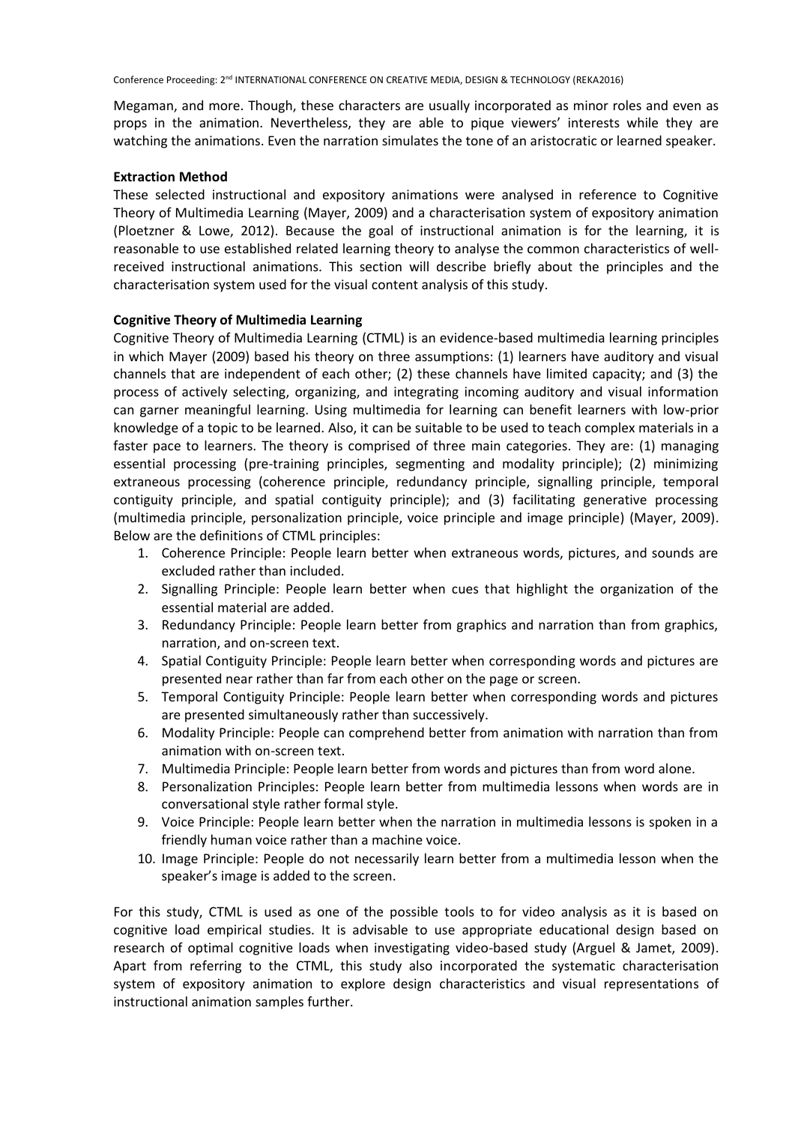Megaman, and more. Though, these characters are usually incorporated as minor roles and even as props in the animation. Nevertheless, they are able to pique viewers' interests while they are watching the animations. Even the narration simulates the tone of an aristocratic or learned speaker.

## **Extraction Method**

These selected instructional and expository animations were analysed in reference to Cognitive Theory of Multimedia Learning (Mayer, 2009) and a characterisation system of expository animation (Ploetzner & Lowe, 2012). Because the goal of instructional animation is for the learning, it is reasonable to use established related learning theory to analyse the common characteristics of wellreceived instructional animations. This section will describe briefly about the principles and the characterisation system used for the visual content analysis of this study.

### **Cognitive Theory of Multimedia Learning**

Cognitive Theory of Multimedia Learning (CTML) is an evidence-based multimedia learning principles in which Mayer (2009) based his theory on three assumptions: (1) learners have auditory and visual channels that are independent of each other; (2) these channels have limited capacity; and (3) the process of actively selecting, organizing, and integrating incoming auditory and visual information can garner meaningful learning. Using multimedia for learning can benefit learners with low-prior knowledge of a topic to be learned. Also, it can be suitable to be used to teach complex materials in a faster pace to learners. The theory is comprised of three main categories. They are: (1) managing essential processing (pre-training principles, segmenting and modality principle); (2) minimizing extraneous processing (coherence principle, redundancy principle, signalling principle, temporal contiguity principle, and spatial contiguity principle); and (3) facilitating generative processing (multimedia principle, personalization principle, voice principle and image principle) (Mayer, 2009). Below are the definitions of CTML principles:

- 1. Coherence Principle: People learn better when extraneous words, pictures, and sounds are excluded rather than included.
- 2. Signalling Principle: People learn better when cues that highlight the organization of the essential material are added.
- 3. Redundancy Principle: People learn better from graphics and narration than from graphics, narration, and on-screen text.
- 4. Spatial Contiguity Principle: People learn better when corresponding words and pictures are presented near rather than far from each other on the page or screen.
- 5. Temporal Contiguity Principle: People learn better when corresponding words and pictures are presented simultaneously rather than successively.
- 6. Modality Principle: People can comprehend better from animation with narration than from animation with on-screen text.
- 7. Multimedia Principle: People learn better from words and pictures than from word alone.
- 8. Personalization Principles: People learn better from multimedia lessons when words are in conversational style rather formal style.
- 9. Voice Principle: People learn better when the narration in multimedia lessons is spoken in a friendly human voice rather than a machine voice.
- 10. Image Principle: People do not necessarily learn better from a multimedia lesson when the speaker's image is added to the screen.

For this study, CTML is used as one of the possible tools to for video analysis as it is based on cognitive load empirical studies. It is advisable to use appropriate educational design based on research of optimal cognitive loads when investigating video-based study (Arguel & Jamet, 2009). Apart from referring to the CTML, this study also incorporated the systematic characterisation system of expository animation to explore design characteristics and visual representations of instructional animation samples further.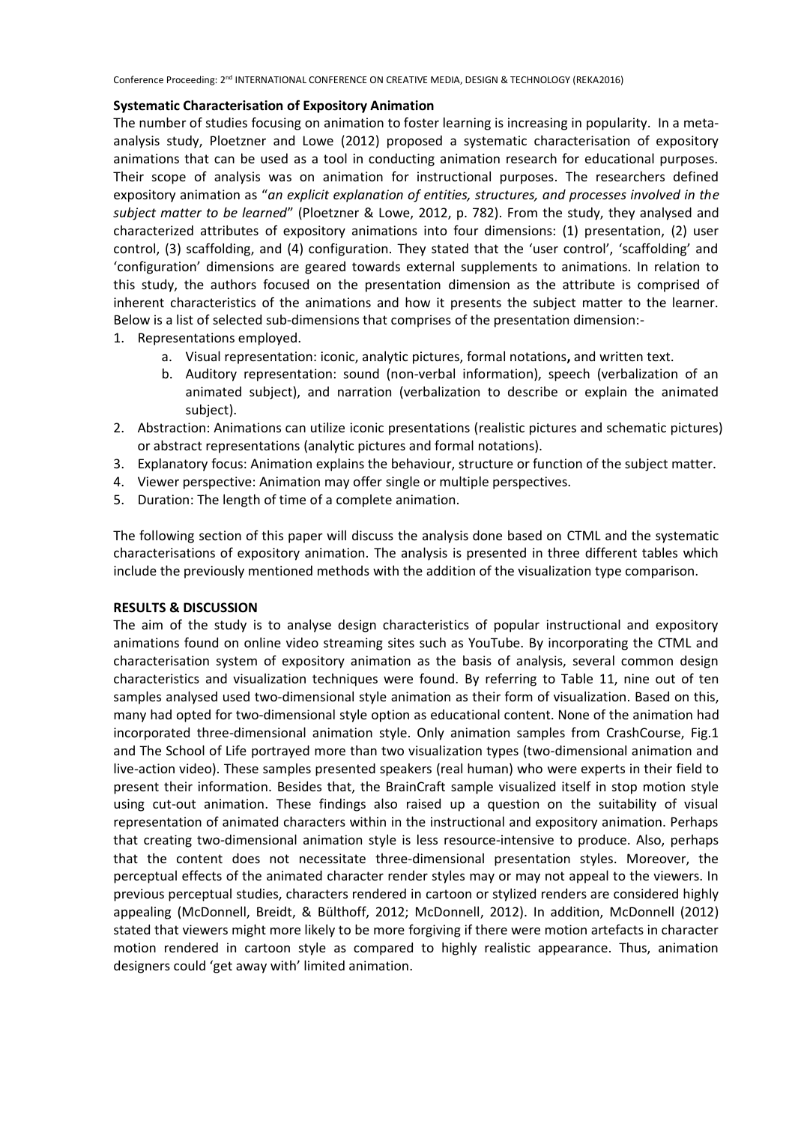## **Systematic Characterisation of Expository Animation**

The number of studies focusing on animation to foster learning is increasing in popularity. In a metaanalysis study, Ploetzner and Lowe (2012) proposed a systematic characterisation of expository animations that can be used as a tool in conducting animation research for educational purposes. Their scope of analysis was on animation for instructional purposes. The researchers defined expository animation as "*an explicit explanation of entities, structures, and processes involved in the subject matter to be learned*" (Ploetzner & Lowe, 2012, p. 782). From the study, they analysed and characterized attributes of expository animations into four dimensions: (1) presentation, (2) user control, (3) scaffolding, and (4) configuration. They stated that the 'user control', 'scaffolding' and 'configuration' dimensions are geared towards external supplements to animations. In relation to this study, the authors focused on the presentation dimension as the attribute is comprised of inherent characteristics of the animations and how it presents the subject matter to the learner. Below is a list of selected sub-dimensions that comprises of the presentation dimension:-

- 1. Representations employed.
	- a. Visual representation: iconic, analytic pictures, formal notations**,** and written text.
	- b. Auditory representation: sound (non-verbal information), speech (verbalization of an animated subject), and narration (verbalization to describe or explain the animated subject).
- 2. Abstraction: Animations can utilize iconic presentations (realistic pictures and schematic pictures) or abstract representations (analytic pictures and formal notations).
- 3. Explanatory focus: Animation explains the behaviour, structure or function of the subject matter.
- 4. Viewer perspective: Animation may offer single or multiple perspectives.
- 5. Duration: The length of time of a complete animation.

The following section of this paper will discuss the analysis done based on CTML and the systematic characterisations of expository animation. The analysis is presented in three different tables which include the previously mentioned methods with the addition of the visualization type comparison.

## **RESULTS & DISCUSSION**

The aim of the study is to analyse design characteristics of popular instructional and expository animations found on online video streaming sites such as YouTube. By incorporating the CTML and characterisation system of expository animation as the basis of analysis, several common design characteristics and visualization techniques were found. By referring to Table 11, nine out of ten samples analysed used two-dimensional style animation as their form of visualization. Based on this, many had opted for two-dimensional style option as educational content. None of the animation had incorporated three-dimensional animation style. Only animation samples from CrashCourse, Fig.1 and The School of Life portrayed more than two visualization types (two-dimensional animation and live-action video). These samples presented speakers (real human) who were experts in their field to present their information. Besides that, the BrainCraft sample visualized itself in stop motion style using cut-out animation. These findings also raised up a question on the suitability of visual representation of animated characters within in the instructional and expository animation. Perhaps that creating two-dimensional animation style is less resource-intensive to produce. Also, perhaps that the content does not necessitate three-dimensional presentation styles. Moreover, the perceptual effects of the animated character render styles may or may not appeal to the viewers. In previous perceptual studies, characters rendered in cartoon or stylized renders are considered highly appealing (McDonnell, Breidt, & Bülthoff, 2012; McDonnell, 2012). In addition, McDonnell (2012) stated that viewers might more likely to be more forgiving if there were motion artefacts in character motion rendered in cartoon style as compared to highly realistic appearance. Thus, animation designers could 'get away with' limited animation.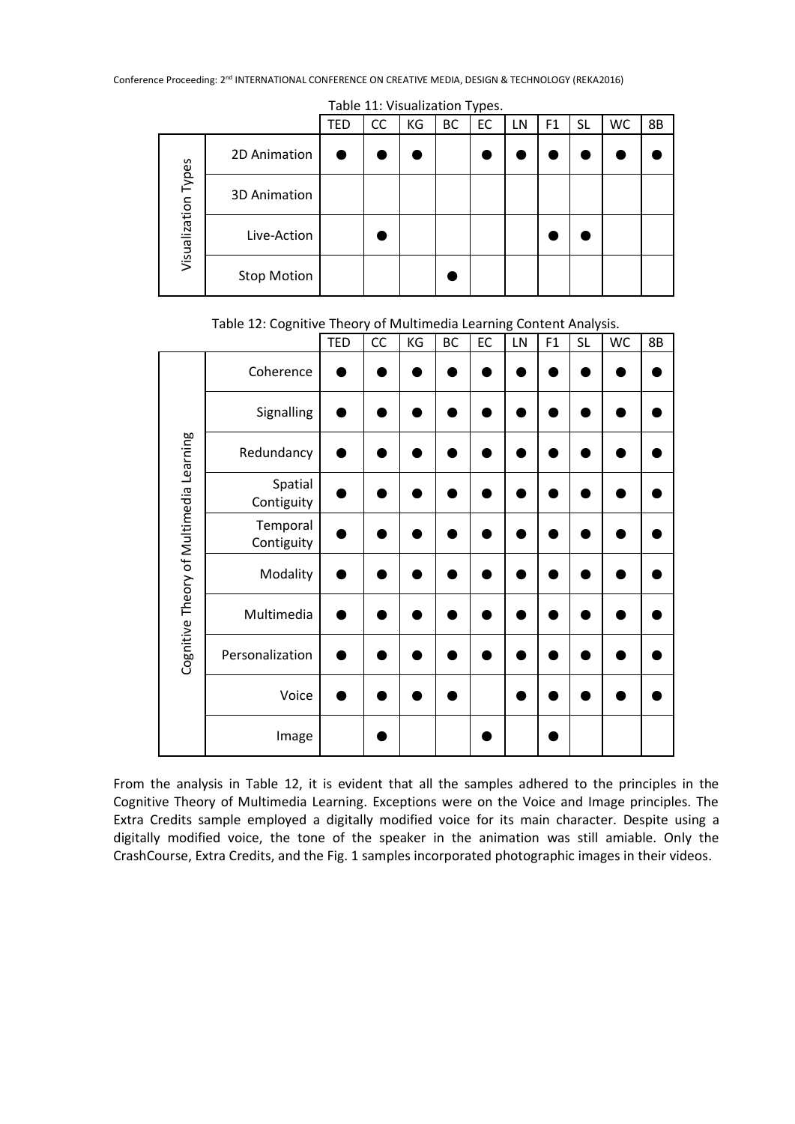|                     | $1001C$ $221$ $1000$ $1120$ $101$ $1$ $1000$ |     |    |    |    |    |    |                |           |    |    |
|---------------------|----------------------------------------------|-----|----|----|----|----|----|----------------|-----------|----|----|
|                     |                                              | TED | CC | KG | BC | EC | LN | F <sub>1</sub> | <b>SL</b> | WC | 8B |
| Visualization Types | 2D Animation                                 |     |    |    |    |    |    |                |           |    |    |
|                     | 3D Animation                                 |     |    |    |    |    |    |                |           |    |    |
|                     | Live-Action                                  |     |    |    |    |    |    |                |           |    |    |
|                     | <b>Stop Motion</b>                           |     |    |    |    |    |    |                |           |    |    |

Table 11: Visualization Types.

Table 12: Cognitive Theory of Multimedia Learning Content Analysis.

|                                         |                        | <b>TED</b> | CC | KG | ВC | EC | LN | F1 | <b>SL</b> | WC | 8B |
|-----------------------------------------|------------------------|------------|----|----|----|----|----|----|-----------|----|----|
|                                         | Coherence              |            |    |    |    |    |    |    |           |    |    |
|                                         | Signalling             |            |    |    |    |    |    |    |           |    |    |
|                                         | Redundancy             |            |    |    |    |    |    |    |           |    |    |
|                                         | Spatial<br>Contiguity  |            |    |    |    |    |    |    |           |    |    |
| Cognitive Theory of Multimedia Learning | Temporal<br>Contiguity |            |    |    |    |    |    |    |           |    |    |
|                                         | Modality               |            |    |    |    |    |    |    |           |    |    |
|                                         | Multimedia             |            |    |    |    |    |    |    |           |    |    |
|                                         | Personalization        |            |    |    |    |    |    |    |           |    |    |
|                                         | Voice                  |            |    |    |    |    |    |    |           |    |    |
|                                         | Image                  |            |    |    |    |    |    |    |           |    |    |

From the analysis in Table 12, it is evident that all the samples adhered to the principles in the Cognitive Theory of Multimedia Learning. Exceptions were on the Voice and Image principles. The Extra Credits sample employed a digitally modified voice for its main character. Despite using a digitally modified voice, the tone of the speaker in the animation was still amiable. Only the CrashCourse, Extra Credits, and the Fig. 1 samples incorporated photographic images in their videos.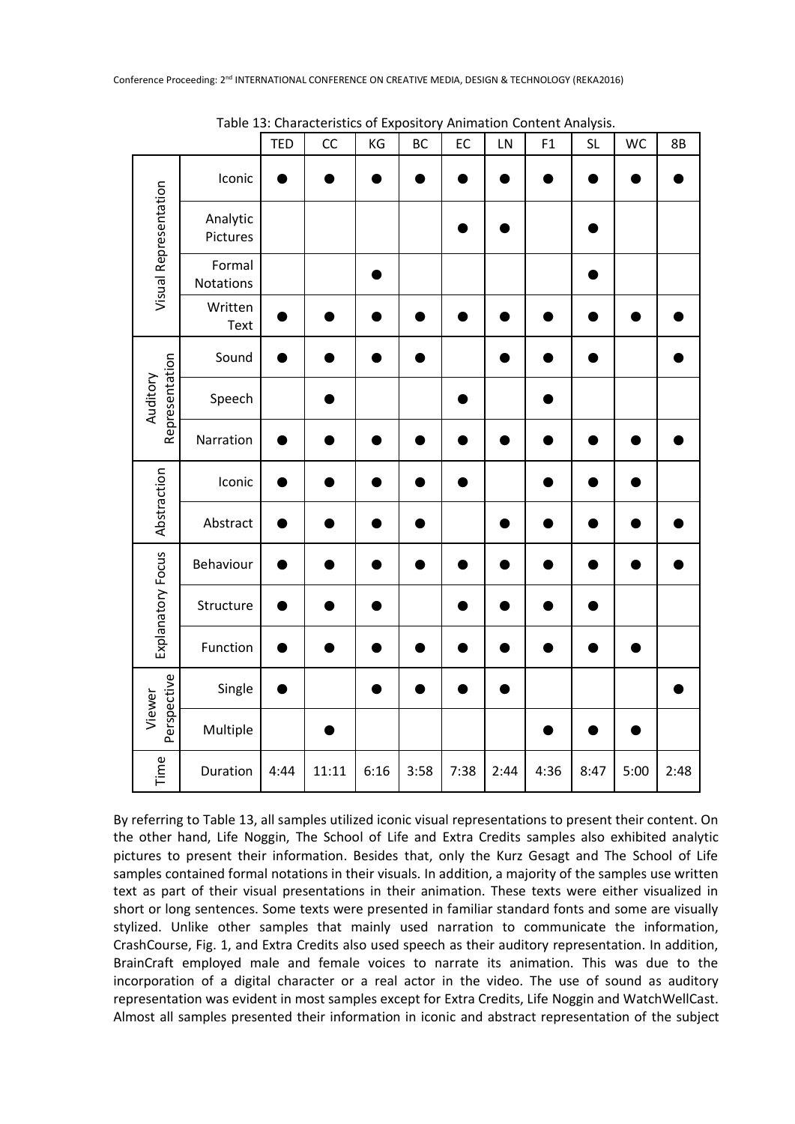|                            |                      | <b>TED</b> | CC    | KG   | BC   | EC   | LN   | F1   | <b>SL</b> | WC   | 8B   |
|----------------------------|----------------------|------------|-------|------|------|------|------|------|-----------|------|------|
| Visual Representation      | Iconic               |            |       |      |      |      |      |      |           |      |      |
|                            | Analytic<br>Pictures |            |       |      |      |      |      |      |           |      |      |
|                            | Formal<br>Notations  |            |       |      |      |      |      |      |           |      |      |
|                            | Written<br>Text      |            |       |      |      |      |      |      |           |      |      |
| Representation<br>Auditory | Sound                |            |       |      |      |      |      |      |           |      |      |
|                            | Speech               |            |       |      |      |      |      |      |           |      |      |
|                            | Narration            |            |       |      |      |      |      |      |           |      |      |
| Abstraction                | Iconic               |            |       |      |      |      |      |      |           |      |      |
|                            | Abstract             |            |       |      |      |      |      |      |           |      |      |
| Explanatory Focus          | Behaviour            |            |       |      |      |      |      |      |           |      |      |
|                            | Structure            |            |       |      |      |      |      |      |           |      |      |
|                            | Function             |            |       |      |      |      |      |      |           |      |      |
| Perspective<br>Viewer      | Single               |            |       |      |      |      |      |      |           |      |      |
|                            | Multiple             |            |       |      |      |      |      |      |           |      |      |
| Time                       | Duration             | 4:44       | 11:11 | 6:16 | 3:58 | 7:38 | 2:44 | 4:36 | 8:47      | 5:00 | 2:48 |

Table 13: Characteristics of Expository Animation Content Analysis.

By referring to Table 13, all samples utilized iconic visual representations to present their content. On the other hand, Life Noggin, The School of Life and Extra Credits samples also exhibited analytic pictures to present their information. Besides that, only the Kurz Gesagt and The School of Life samples contained formal notations in their visuals. In addition, a majority of the samples use written text as part of their visual presentations in their animation. These texts were either visualized in short or long sentences. Some texts were presented in familiar standard fonts and some are visually stylized. Unlike other samples that mainly used narration to communicate the information, CrashCourse, Fig. 1, and Extra Credits also used speech as their auditory representation. In addition, BrainCraft employed male and female voices to narrate its animation. This was due to the incorporation of a digital character or a real actor in the video. The use of sound as auditory representation was evident in most samples except for Extra Credits, Life Noggin and WatchWellCast. Almost all samples presented their information in iconic and abstract representation of the subject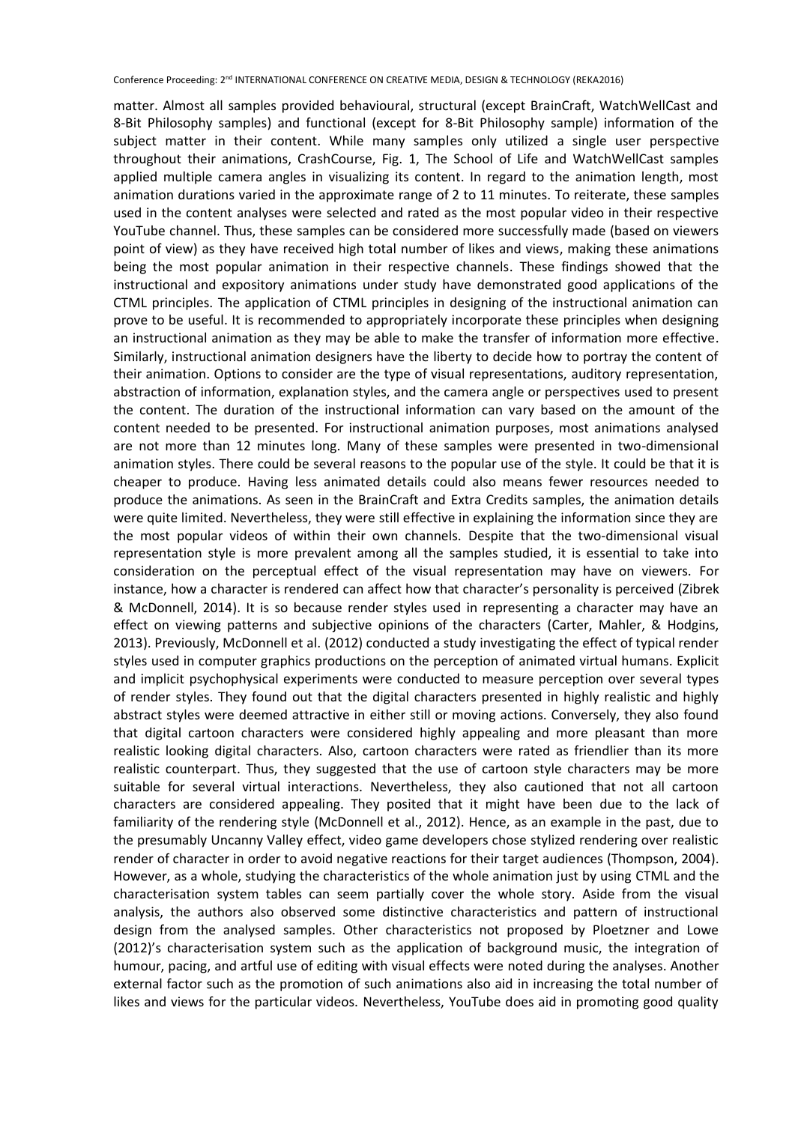matter. Almost all samples provided behavioural, structural (except BrainCraft, WatchWellCast and 8-Bit Philosophy samples) and functional (except for 8-Bit Philosophy sample) information of the subject matter in their content. While many samples only utilized a single user perspective throughout their animations, CrashCourse, Fig. 1, The School of Life and WatchWellCast samples applied multiple camera angles in visualizing its content. In regard to the animation length, most animation durations varied in the approximate range of 2 to 11 minutes. To reiterate, these samples used in the content analyses were selected and rated as the most popular video in their respective YouTube channel. Thus, these samples can be considered more successfully made (based on viewers point of view) as they have received high total number of likes and views, making these animations being the most popular animation in their respective channels. These findings showed that the instructional and expository animations under study have demonstrated good applications of the CTML principles. The application of CTML principles in designing of the instructional animation can prove to be useful. It is recommended to appropriately incorporate these principles when designing an instructional animation as they may be able to make the transfer of information more effective. Similarly, instructional animation designers have the liberty to decide how to portray the content of their animation. Options to consider are the type of visual representations, auditory representation, abstraction of information, explanation styles, and the camera angle or perspectives used to present the content. The duration of the instructional information can vary based on the amount of the content needed to be presented. For instructional animation purposes, most animations analysed are not more than 12 minutes long. Many of these samples were presented in two-dimensional animation styles. There could be several reasons to the popular use of the style. It could be that it is cheaper to produce. Having less animated details could also means fewer resources needed to produce the animations. As seen in the BrainCraft and Extra Credits samples, the animation details were quite limited. Nevertheless, they were still effective in explaining the information since they are the most popular videos of within their own channels. Despite that the two-dimensional visual representation style is more prevalent among all the samples studied, it is essential to take into consideration on the perceptual effect of the visual representation may have on viewers. For instance, how a character is rendered can affect how that character's personality is perceived (Zibrek & McDonnell, 2014). It is so because render styles used in representing a character may have an effect on viewing patterns and subjective opinions of the characters (Carter, Mahler, & Hodgins, 2013). Previously, McDonnell et al. (2012) conducted a study investigating the effect of typical render styles used in computer graphics productions on the perception of animated virtual humans. Explicit and implicit psychophysical experiments were conducted to measure perception over several types of render styles. They found out that the digital characters presented in highly realistic and highly abstract styles were deemed attractive in either still or moving actions. Conversely, they also found that digital cartoon characters were considered highly appealing and more pleasant than more realistic looking digital characters. Also, cartoon characters were rated as friendlier than its more realistic counterpart. Thus, they suggested that the use of cartoon style characters may be more suitable for several virtual interactions. Nevertheless, they also cautioned that not all cartoon characters are considered appealing. They posited that it might have been due to the lack of familiarity of the rendering style (McDonnell et al., 2012). Hence, as an example in the past, due to the presumably Uncanny Valley effect, video game developers chose stylized rendering over realistic render of character in order to avoid negative reactions for their target audiences (Thompson, 2004). However, as a whole, studying the characteristics of the whole animation just by using CTML and the characterisation system tables can seem partially cover the whole story. Aside from the visual analysis, the authors also observed some distinctive characteristics and pattern of instructional design from the analysed samples. Other characteristics not proposed by Ploetzner and Lowe (2012)'s characterisation system such as the application of background music, the integration of humour, pacing, and artful use of editing with visual effects were noted during the analyses. Another external factor such as the promotion of such animations also aid in increasing the total number of likes and views for the particular videos. Nevertheless, YouTube does aid in promoting good quality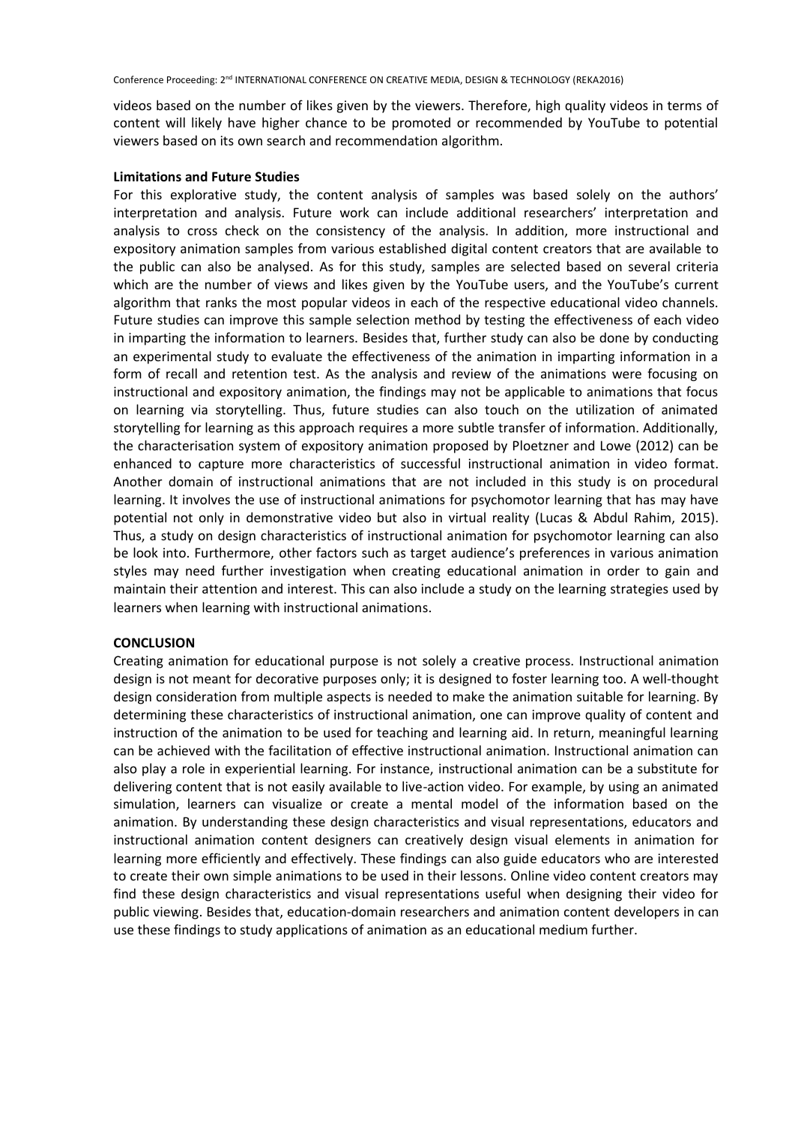videos based on the number of likes given by the viewers. Therefore, high quality videos in terms of content will likely have higher chance to be promoted or recommended by YouTube to potential viewers based on its own search and recommendation algorithm.

#### **Limitations and Future Studies**

For this explorative study, the content analysis of samples was based solely on the authors' interpretation and analysis. Future work can include additional researchers' interpretation and analysis to cross check on the consistency of the analysis. In addition, more instructional and expository animation samples from various established digital content creators that are available to the public can also be analysed. As for this study, samples are selected based on several criteria which are the number of views and likes given by the YouTube users, and the YouTube's current algorithm that ranks the most popular videos in each of the respective educational video channels. Future studies can improve this sample selection method by testing the effectiveness of each video in imparting the information to learners. Besides that, further study can also be done by conducting an experimental study to evaluate the effectiveness of the animation in imparting information in a form of recall and retention test. As the analysis and review of the animations were focusing on instructional and expository animation, the findings may not be applicable to animations that focus on learning via storytelling. Thus, future studies can also touch on the utilization of animated storytelling for learning as this approach requires a more subtle transfer of information. Additionally, the characterisation system of expository animation proposed by Ploetzner and Lowe (2012) can be enhanced to capture more characteristics of successful instructional animation in video format. Another domain of instructional animations that are not included in this study is on procedural learning. It involves the use of instructional animations for psychomotor learning that has may have potential not only in demonstrative video but also in virtual reality (Lucas & Abdul Rahim, 2015). Thus, a study on design characteristics of instructional animation for psychomotor learning can also be look into. Furthermore, other factors such as target audience's preferences in various animation styles may need further investigation when creating educational animation in order to gain and maintain their attention and interest. This can also include a study on the learning strategies used by learners when learning with instructional animations.

#### **CONCLUSION**

Creating animation for educational purpose is not solely a creative process. Instructional animation design is not meant for decorative purposes only; it is designed to foster learning too. A well-thought design consideration from multiple aspects is needed to make the animation suitable for learning. By determining these characteristics of instructional animation, one can improve quality of content and instruction of the animation to be used for teaching and learning aid. In return, meaningful learning can be achieved with the facilitation of effective instructional animation. Instructional animation can also play a role in experiential learning. For instance, instructional animation can be a substitute for delivering content that is not easily available to live-action video. For example, by using an animated simulation, learners can visualize or create a mental model of the information based on the animation. By understanding these design characteristics and visual representations, educators and instructional animation content designers can creatively design visual elements in animation for learning more efficiently and effectively. These findings can also guide educators who are interested to create their own simple animations to be used in their lessons. Online video content creators may find these design characteristics and visual representations useful when designing their video for public viewing. Besides that, education-domain researchers and animation content developers in can use these findings to study applications of animation as an educational medium further.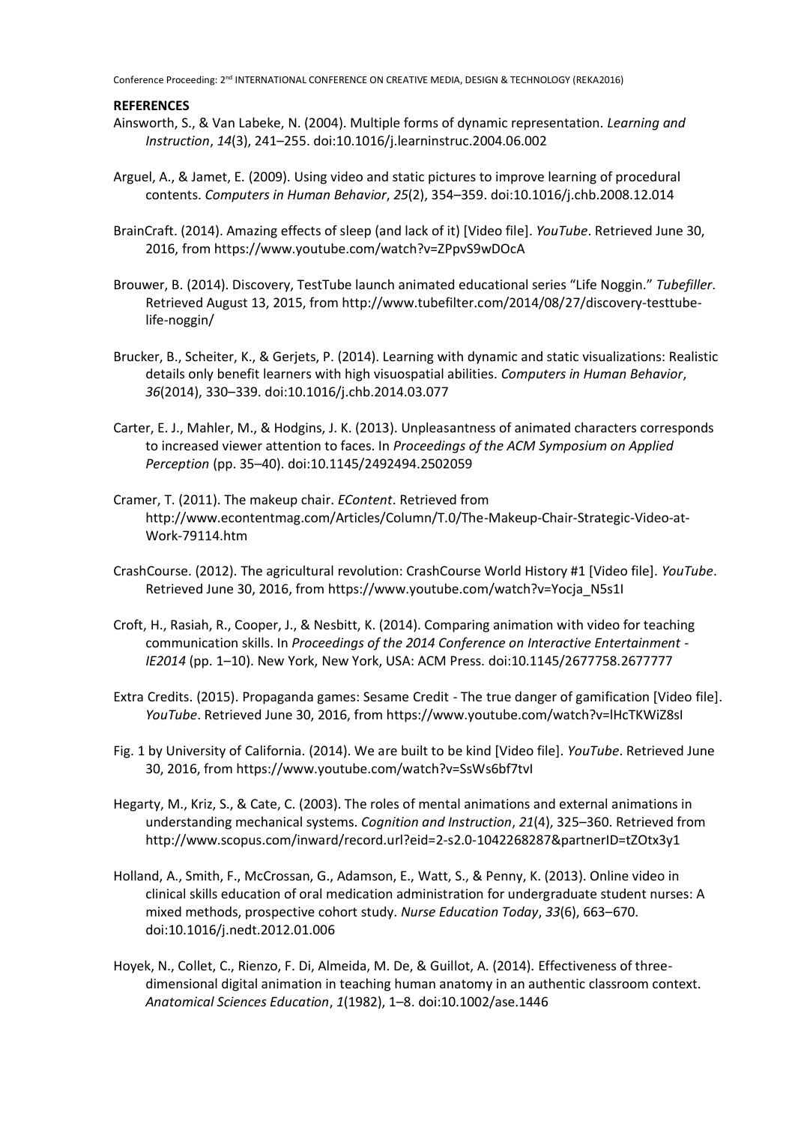#### **REFERENCES**

- Ainsworth, S., & Van Labeke, N. (2004). Multiple forms of dynamic representation. *Learning and Instruction*, *14*(3), 241–255. doi:10.1016/j.learninstruc.2004.06.002
- Arguel, A., & Jamet, E. (2009). Using video and static pictures to improve learning of procedural contents. *Computers in Human Behavior*, *25*(2), 354–359. doi:10.1016/j.chb.2008.12.014
- BrainCraft. (2014). Amazing effects of sleep (and lack of it) [Video file]. *YouTube*. Retrieved June 30, 2016, from https://www.youtube.com/watch?v=ZPpvS9wDOcA
- Brouwer, B. (2014). Discovery, TestTube launch animated educational series "Life Noggin." *Tubefiller*. Retrieved August 13, 2015, from http://www.tubefilter.com/2014/08/27/discovery-testtubelife-noggin/
- Brucker, B., Scheiter, K., & Gerjets, P. (2014). Learning with dynamic and static visualizations: Realistic details only benefit learners with high visuospatial abilities. *Computers in Human Behavior*, *36*(2014), 330–339. doi:10.1016/j.chb.2014.03.077
- Carter, E. J., Mahler, M., & Hodgins, J. K. (2013). Unpleasantness of animated characters corresponds to increased viewer attention to faces. In *Proceedings of the ACM Symposium on Applied Perception* (pp. 35–40). doi:10.1145/2492494.2502059
- Cramer, T. (2011). The makeup chair. *EContent*. Retrieved from http://www.econtentmag.com/Articles/Column/T.0/The-Makeup-Chair-Strategic-Video-at-Work-79114.htm
- CrashCourse. (2012). The agricultural revolution: CrashCourse World History #1 [Video file]. *YouTube*. Retrieved June 30, 2016, from https://www.youtube.com/watch?v=Yocja\_N5s1I
- Croft, H., Rasiah, R., Cooper, J., & Nesbitt, K. (2014). Comparing animation with video for teaching communication skills. In *Proceedings of the 2014 Conference on Interactive Entertainment - IE2014* (pp. 1–10). New York, New York, USA: ACM Press. doi:10.1145/2677758.2677777
- Extra Credits. (2015). Propaganda games: Sesame Credit The true danger of gamification [Video file]. *YouTube*. Retrieved June 30, 2016, from https://www.youtube.com/watch?v=lHcTKWiZ8sI
- Fig. 1 by University of California. (2014). We are built to be kind [Video file]. *YouTube*. Retrieved June 30, 2016, from https://www.youtube.com/watch?v=SsWs6bf7tvI
- Hegarty, M., Kriz, S., & Cate, C. (2003). The roles of mental animations and external animations in understanding mechanical systems. *Cognition and Instruction*, *21*(4), 325–360. Retrieved from http://www.scopus.com/inward/record.url?eid=2-s2.0-1042268287&partnerID=tZOtx3y1
- Holland, A., Smith, F., McCrossan, G., Adamson, E., Watt, S., & Penny, K. (2013). Online video in clinical skills education of oral medication administration for undergraduate student nurses: A mixed methods, prospective cohort study. *Nurse Education Today*, *33*(6), 663–670. doi:10.1016/j.nedt.2012.01.006
- Hoyek, N., Collet, C., Rienzo, F. Di, Almeida, M. De, & Guillot, A. (2014). Effectiveness of threedimensional digital animation in teaching human anatomy in an authentic classroom context. *Anatomical Sciences Education*, *1*(1982), 1–8. doi:10.1002/ase.1446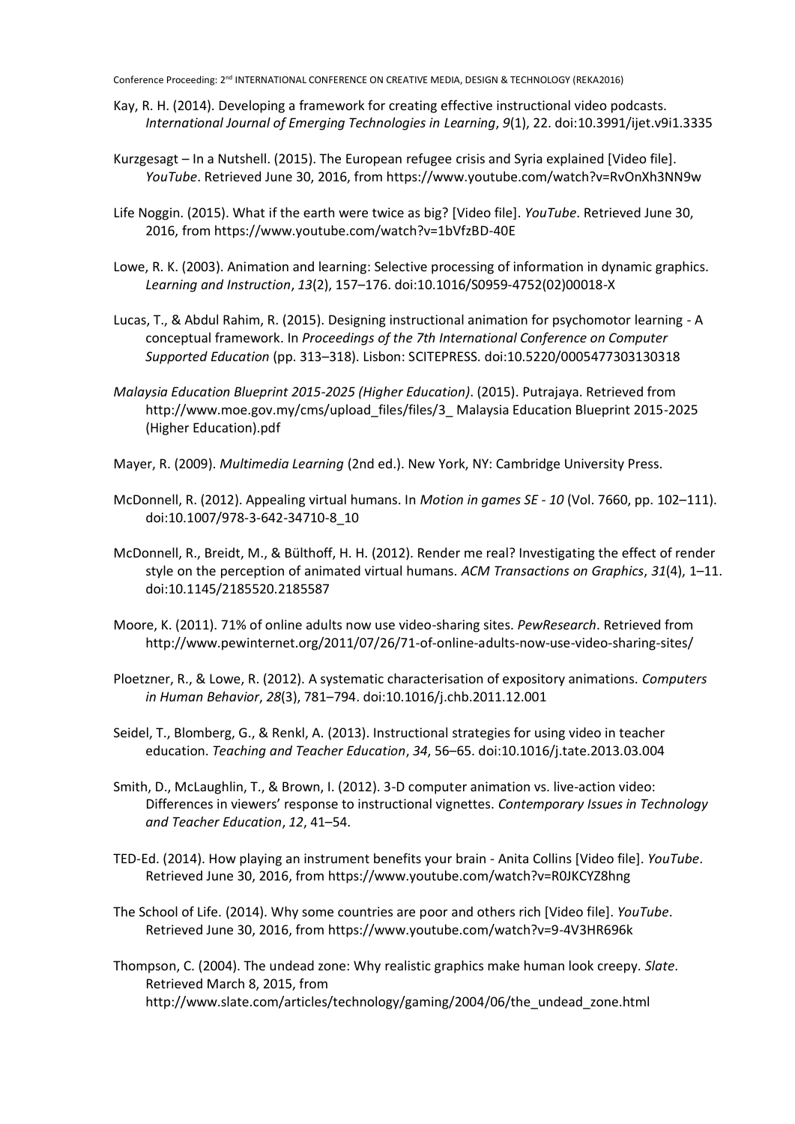- Kay, R. H. (2014). Developing a framework for creating effective instructional video podcasts. *International Journal of Emerging Technologies in Learning*, *9*(1), 22. doi:10.3991/ijet.v9i1.3335
- Kurzgesagt In a Nutshell. (2015). The European refugee crisis and Syria explained [Video file]. *YouTube*. Retrieved June 30, 2016, from https://www.youtube.com/watch?v=RvOnXh3NN9w
- Life Noggin. (2015). What if the earth were twice as big? [Video file]. *YouTube*. Retrieved June 30, 2016, from https://www.youtube.com/watch?v=1bVfzBD-40E
- Lowe, R. K. (2003). Animation and learning: Selective processing of information in dynamic graphics. *Learning and Instruction*, *13*(2), 157–176. doi:10.1016/S0959-4752(02)00018-X
- Lucas, T., & Abdul Rahim, R. (2015). Designing instructional animation for psychomotor learning A conceptual framework. In *Proceedings of the 7th International Conference on Computer Supported Education* (pp. 313–318). Lisbon: SCITEPRESS. doi:10.5220/0005477303130318
- *Malaysia Education Blueprint 2015-2025 (Higher Education)*. (2015). Putrajaya. Retrieved from http://www.moe.gov.my/cms/upload\_files/files/3\_ Malaysia Education Blueprint 2015-2025 (Higher Education).pdf
- Mayer, R. (2009). *Multimedia Learning* (2nd ed.). New York, NY: Cambridge University Press.
- McDonnell, R. (2012). Appealing virtual humans. In *Motion in games SE - 10* (Vol. 7660, pp. 102–111). doi:10.1007/978-3-642-34710-8\_10
- McDonnell, R., Breidt, M., & Bülthoff, H. H. (2012). Render me real? Investigating the effect of render style on the perception of animated virtual humans. *ACM Transactions on Graphics*, *31*(4), 1–11. doi:10.1145/2185520.2185587
- Moore, K. (2011). 71% of online adults now use video-sharing sites. *PewResearch*. Retrieved from http://www.pewinternet.org/2011/07/26/71-of-online-adults-now-use-video-sharing-sites/
- Ploetzner, R., & Lowe, R. (2012). A systematic characterisation of expository animations. *Computers in Human Behavior*, *28*(3), 781–794. doi:10.1016/j.chb.2011.12.001
- Seidel, T., Blomberg, G., & Renkl, A. (2013). Instructional strategies for using video in teacher education. *Teaching and Teacher Education*, *34*, 56–65. doi:10.1016/j.tate.2013.03.004
- Smith, D., McLaughlin, T., & Brown, I. (2012). 3-D computer animation vs. live-action video: Differences in viewers' response to instructional vignettes. *Contemporary Issues in Technology and Teacher Education*, *12*, 41–54.
- TED-Ed. (2014). How playing an instrument benefits your brain Anita Collins [Video file]. *YouTube*. Retrieved June 30, 2016, from https://www.youtube.com/watch?v=R0JKCYZ8hng
- The School of Life. (2014). Why some countries are poor and others rich [Video file]. *YouTube*. Retrieved June 30, 2016, from https://www.youtube.com/watch?v=9-4V3HR696k
- Thompson, C. (2004). The undead zone: Why realistic graphics make human look creepy. *Slate*. Retrieved March 8, 2015, from http://www.slate.com/articles/technology/gaming/2004/06/the\_undead\_zone.html